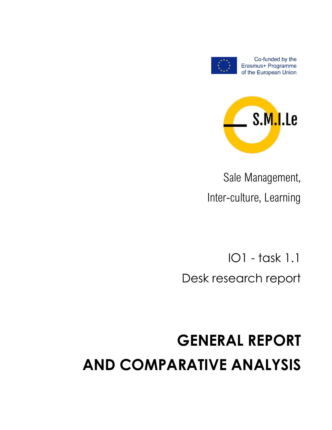# **GENERAL REPORT AND COMPARATIVE ANALYSIS**

IO1 - task 1.1 Desk research report

Sale Management, Inter-culture, Learning





Co-funded by the Erasmus+ Programme of the European Union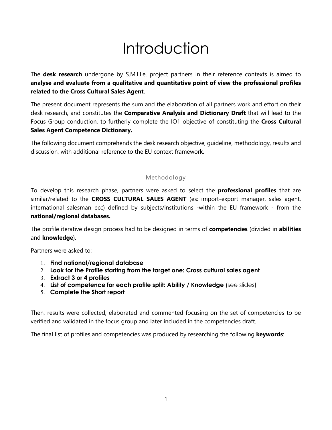## Introduction

The **desk research** undergone by S.M.I.Le. project partners in their reference contexts is aimed to **analyse and evaluate from a qualitative and quantitative point of view the professional profiles related to the Cross Cultural Sales Agent**.

The present document represents the sum and the elaboration of all partners work and effort on their desk research, and constitutes the **Comparative Analysis and Dictionary Draft** that will lead to the Focus Group conduction, to furtherly complete the IO1 objective of constituting the **Cross Cultural Sales Agent Competence Dictionary.**

The following document comprehends the desk research objective, guideline, methodology, results and discussion, with additional reference to the EU context framework.

### Methodology

To develop this research phase, partners were asked to select the **professional profiles** that are similar/related to the **CROSS CULTURAL SALES AGENT** (es: import-export manager, sales agent, international salesman ecc) defined by subjects/institutions -within the EU framework - from the **national/regional databases.**

The profile iterative design process had to be designed in terms of **competencies** (divided in **abilities** and **knowledge**).

Partners were asked to:

- 1. **Find national/regional database**
- 2. **Look for the Profile starting from the target one: Cross cultural sales agent**
- 3. **Extract 3 or 4 profiles**
- 4. **List of competence for each profile split: Ability / Knowledge** (see slides)
- 5. **Complete the Short report**

Then, results were collected, elaborated and commented focusing on the set of competencies to be verified and validated in the focus group and later included in the competencies draft.

The final list of profiles and competencies was produced by researching the following **keywords**: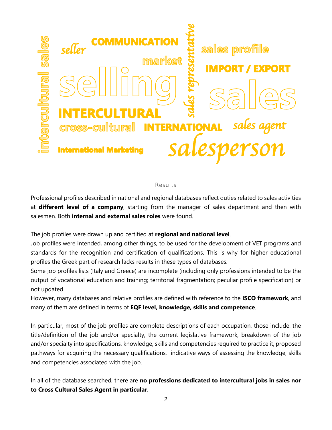

#### Results

Professional profiles described in national and regional databases reflect duties related to sales activities at **different level of a company**, starting from the manager of sales department and then with salesmen. Both **internal and external sales roles** were found.

The job profiles were drawn up and certified at **regional and national level**.

Job profiles were intended, among other things, to be used for the development of VET programs and standards for the recognition and certification of qualifications. This is why for higher educational profiles the Greek part of research lacks results in these types of databases.

Some job profiles lists (Italy and Greece) are incomplete (including only professions intended to be the output of vocational education and training; territorial fragmentation; peculiar profile specification) or not updated.

However, many databases and relative profiles are defined with reference to the **ISCO framework**, and many of them are defined in terms of **EQF level, knowledge, skills and competence**.

In particular, most of the job profiles are complete descriptions of each occupation, those include: the title/definition of the job and/or specialty, the current legislative framework, breakdown of the job and/or specialty into specifications, knowledge, skills and competencies required to practice it, proposed pathways for acquiring the necessary qualifications, indicative ways of assessing the knowledge, skills and competencies associated with the job.

In all of the database searched, there are **no professions dedicated to intercultural jobs in sales nor to Cross Cultural Sales Agent in particular**.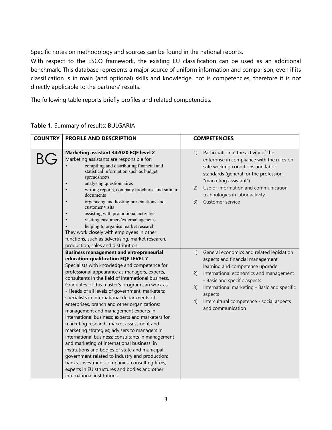Specific notes on methodology and sources can be found in the national reports.

With respect to the ESCO framework, the existing EU classification can be used as an additional benchmark. This database represents a major source of uniform information and comparison, even if its classification is in main (and optional) skills and knowledge, not is competencies, therefore it is not directly applicable to the partners' results.

The following table reports briefly profiles and related competencies.

| <b>COUNTRY</b> | PROFILE AND DESCRIPTION                                                                                                                                                                                                                                                                                                                                                                                                                                                                                                                                                                                                                                                                                                                                                                                                                                | <b>COMPETENCIES</b>                                                                                                                                                                                                                                                                                                                             |
|----------------|--------------------------------------------------------------------------------------------------------------------------------------------------------------------------------------------------------------------------------------------------------------------------------------------------------------------------------------------------------------------------------------------------------------------------------------------------------------------------------------------------------------------------------------------------------------------------------------------------------------------------------------------------------------------------------------------------------------------------------------------------------------------------------------------------------------------------------------------------------|-------------------------------------------------------------------------------------------------------------------------------------------------------------------------------------------------------------------------------------------------------------------------------------------------------------------------------------------------|
|                | Marketing assistant 342020 EQF level 2<br>Marketing assistants are responsible for:<br>compiling and distributing financial and<br>statistical information such as budget<br>spreadsheets<br>analysing questionnaires<br>writing reports, company brochures and similar<br>documents<br>organising and hosting presentations and<br>customer visits<br>assisting with promotional activities<br>$\bullet$<br>visiting customers/external agencies<br>helping to organise market research.<br>They work closely with employees in other<br>functions, such as advertising, market research,<br>production, sales and distribution.                                                                                                                                                                                                                      | Participation in the activity of the<br>1)<br>enterprise in compliance with the rules on<br>safe working conditions and labor<br>standards (general for the profession<br>"marketing assistant")<br>Use of information and communication<br>(2)<br>technologies in labor activity<br>Customer service<br>3)                                     |
|                | <b>Business management and entrepreneurial</b><br>education-qualification EQF LEVEL 7<br>Specialists with knowledge and competence for<br>professional appearance as managers, experts,<br>consultants in the field of international business.<br>Graduates of this master's program can work as:<br>- Heads of all levels of government; marketers;<br>specialists in international departments of<br>enterprises, branch and other organizations;<br>management and management experts in<br>international business; experts and marketers for<br>marketing research, market assessment and<br>marketing strategies; advisers to managers in<br>international business; consultants in management<br>and marketing of international business; in<br>institutions and bodies of state and municipal<br>government related to industry and production; | General economics and related legislation<br>1)<br>aspects and financial management<br>learning and competence upgrade<br>International economics and management<br>2)<br>- Basic and specific aspects<br>International marketing - Basic and specific<br>3)<br>aspects<br>Intercultural competence - social aspects<br>4)<br>and communication |
|                | banks, investment companies, consulting firms;<br>experts in EU structures and bodies and other<br>international institutions.                                                                                                                                                                                                                                                                                                                                                                                                                                                                                                                                                                                                                                                                                                                         |                                                                                                                                                                                                                                                                                                                                                 |

**Table 1.** Summary of results: BULGARIA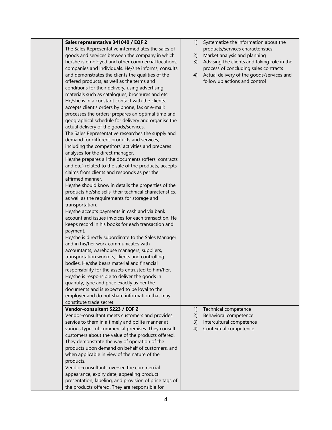| Sales representative 341040 / EQF 2                     | 1) | Systematize the information about the       |
|---------------------------------------------------------|----|---------------------------------------------|
| The Sales Representative intermediates the sales of     |    | products/services characteristics           |
| goods and services between the company in which         | 2) | Market analysis and planning                |
| he/she is employed and other commercial locations,      | 3) | Advising the clients and taking role in the |
| companies and individuals. He/she informs, consults     |    | process of concluding sales contracts       |
| and demonstrates the clients the qualities of the       | 4) | Actual delivery of the goods/services and   |
| offered products, as well as the terms and              |    | follow up actions and control               |
| conditions for their delivery, using advertising        |    |                                             |
| materials such as catalogues, brochures and etc.        |    |                                             |
| He/she is in a constant contact with the clients:       |    |                                             |
| accepts client's orders by phone, fax or e-mail;        |    |                                             |
| processes the orders; prepares an optimal time and      |    |                                             |
| geographical schedule for delivery and organise the     |    |                                             |
| actual delivery of the goods/services.                  |    |                                             |
| The Sales Representative researches the supply and      |    |                                             |
| demand for different products and services,             |    |                                             |
| including the competitors' activities and prepares      |    |                                             |
| analyses for the direct manager.                        |    |                                             |
| He/she prepares all the documents (offers, contracts    |    |                                             |
| and etc.) related to the sale of the products, accepts  |    |                                             |
| claims from clients and responds as per the             |    |                                             |
| affirmed manner.                                        |    |                                             |
| He/she should know in details the properties of the     |    |                                             |
| products he/she sells, their technical characteristics, |    |                                             |
| as well as the requirements for storage and             |    |                                             |
| transportation.                                         |    |                                             |
| He/she accepts payments in cash and via bank            |    |                                             |
| account and issues invoices for each transaction. He    |    |                                             |
| keeps record in his books for each transaction and      |    |                                             |
| payment.                                                |    |                                             |
| He/she is directly subordinate to the Sales Manager     |    |                                             |
| and in his/her work communicates with                   |    |                                             |
| accountants, warehouse managers, suppliers,             |    |                                             |
| transportation workers, clients and controlling         |    |                                             |
| bodies. He/she bears material and financial             |    |                                             |
| responsibility for the assets entrusted to him/her.     |    |                                             |
| He/she is responsible to deliver the goods in           |    |                                             |
| quantity, type and price exactly as per the             |    |                                             |
| documents and is expected to be loyal to the            |    |                                             |
| employer and do not share information that may          |    |                                             |
| constitute trade secret.                                |    |                                             |
| Vendor-consultant 5223 / EQF 2                          | 1) | Technical competence                        |
| Vendor-consultant meets customers and provides          | 2) | Behavioral competence                       |
| service to them in a timely and polite manner at        | 3) | Intercultural competence                    |
| various types of commercial premises. They consult      | 4) | Contextual competence                       |
| customers about the value of the products offered.      |    |                                             |
| They demonstrate the way of operation of the            |    |                                             |
| products upon demand on behalf of customers, and        |    |                                             |
| when applicable in view of the nature of the            |    |                                             |
| products.                                               |    |                                             |
| Vendor-consultants oversee the commercial               |    |                                             |
| appearance, expiry date, appealing product              |    |                                             |
| presentation, labeling, and provision of price tags of  |    |                                             |
| the products offered. They are responsible for          |    |                                             |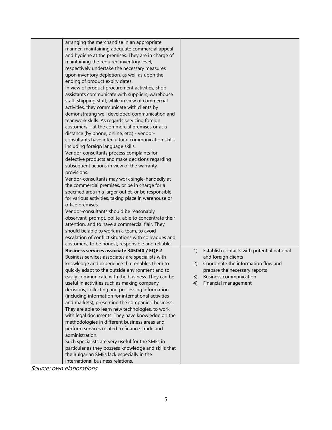| arranging the merchandise in an appropriate           |     |                                            |
|-------------------------------------------------------|-----|--------------------------------------------|
| manner, maintaining adequate commercial appeal        |     |                                            |
| and hygiene at the premises. They are in charge of    |     |                                            |
| maintaining the required inventory level,             |     |                                            |
| respectively undertake the necessary measures         |     |                                            |
| upon inventory depletion, as well as upon the         |     |                                            |
| ending of product expiry dates.                       |     |                                            |
| In view of product procurement activities, shop       |     |                                            |
| assistants communicate with suppliers, warehouse      |     |                                            |
| staff, shipping staff; while in view of commercial    |     |                                            |
| activities, they communicate with clients by          |     |                                            |
| demonstrating well developed communication and        |     |                                            |
| teamwork skills. As regards servicing foreign         |     |                                            |
| customers - at the commercial premises or at a        |     |                                            |
| distance (by phone, online, etc.) - vendor-           |     |                                            |
| consultants have intercultural communication skills,  |     |                                            |
| including foreign language skills.                    |     |                                            |
| Vendor-consultants process complaints for             |     |                                            |
| defective products and make decisions regarding       |     |                                            |
| subsequent actions in view of the warranty            |     |                                            |
| provisions.                                           |     |                                            |
| Vendor-consultants may work single-handedly at        |     |                                            |
| the commercial premises, or be in charge for a        |     |                                            |
| specified area in a larger outlet, or be responsible  |     |                                            |
| for various activities, taking place in warehouse or  |     |                                            |
| office premises.                                      |     |                                            |
| Vendor-consultants should be reasonably               |     |                                            |
| observant, prompt, polite, able to concentrate their  |     |                                            |
| attention, and to have a commercial flair. They       |     |                                            |
| should be able to work in a team, to avoid            |     |                                            |
| escalation of conflict situations with colleagues and |     |                                            |
| customers, to be honest, responsible and reliable.    |     |                                            |
| <b>Business services associate 345040 / EQF 2</b>     | 1)  | Establish contacts with potential national |
| Business services associates are specialists with     |     | and foreign clients                        |
| knowledge and experience that enables them to         | (2) | Coordinate the information flow and        |
| quickly adapt to the outside environment and to       |     | prepare the necessary reports              |
| easily communicate with the business. They can be     | 3)  | <b>Business communication</b>              |
| useful in activities such as making company           | 4)  | Financial management                       |
| decisions, collecting and processing information      |     |                                            |
| (including information for international activities   |     |                                            |
| and markets), presenting the companies' business.     |     |                                            |
| They are able to learn new technologies, to work      |     |                                            |
| with legal documents. They have knowledge on the      |     |                                            |
| methodologies in different business areas and         |     |                                            |
| perform services related to finance, trade and        |     |                                            |
| administration.                                       |     |                                            |
| Such specialists are very useful for the SMEs in      |     |                                            |
| particular as they possess knowledge and skills that  |     |                                            |
| the Bulgarian SMEs lack especially in the             |     |                                            |
| international business relations.                     |     |                                            |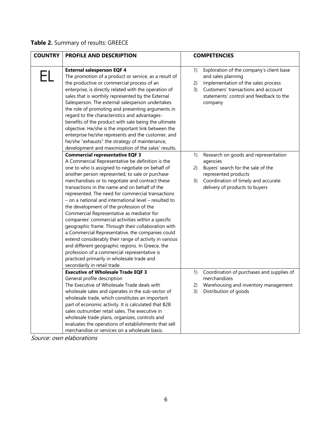## **Table 2.** Summary of results: GREECE

| <b>COUNTRY</b> | PROFILE AND DESCRIPTION                                                                                                                                                                                                                                                                                                                                                                                                                                                                                                                                                                                                                                                                                                                                                                                                                                                        |                      | <b>COMPETENCIES</b>                                                                                                                                                                                                                        |
|----------------|--------------------------------------------------------------------------------------------------------------------------------------------------------------------------------------------------------------------------------------------------------------------------------------------------------------------------------------------------------------------------------------------------------------------------------------------------------------------------------------------------------------------------------------------------------------------------------------------------------------------------------------------------------------------------------------------------------------------------------------------------------------------------------------------------------------------------------------------------------------------------------|----------------------|--------------------------------------------------------------------------------------------------------------------------------------------------------------------------------------------------------------------------------------------|
|                | <b>External salesperson EQF 4</b><br>The promotion of a product or service, as a result of<br>the productive or commercial process of an<br>enterprise, is directly related with the operation of<br>sales that is worthily represented by the External<br>Salesperson. The external salesperson undertakes<br>the role of promoting and presenting arguments in<br>regard to the characteristics and advantages-<br>benefits of the product with sale being the ultimate<br>objective. He/she is the important link between the<br>enterprise he/she represents and the customer, and<br>he/she "exhausts" the strategy of maintenance,<br>development and maximization of the sales' results.<br><b>Commercial representative EQF 3</b>                                                                                                                                      | 1)<br>2)<br>3)<br>1) | Exploration of the company's client base<br>and sales planning<br>Implementation of the sales process<br>Customers' transactions and account<br>statements' control and feedback to the<br>company<br>Research on goods and representation |
|                | A Commercial Representative be definition is the<br>one to who is assigned to negotiate on behalf of<br>another person represented, to sale or purchase<br>merchandises or to negotiate and contract these<br>transactions in the name and on behalf of the<br>represented. The need for commercial transactions<br>- on a national and international level - resulted to<br>the development of the profession of the<br>Commercial Representative as mediator for<br>companies' commercial activities within a specific<br>geographic frame. Through their collaboration with<br>a Commercial Representative, the companies could<br>extend considerably their range of activity in various<br>and different geographic regions. In Greece, the<br>profession of a commercial representative is<br>practiced primarily in wholesale trade and<br>secondarily in retail trade. | 2)<br>3)             | agencies<br>Buyers' search for the sale of the<br>represented products<br>Coordination of timely and accurate<br>delivery of products to buyers                                                                                            |
|                | <b>Executive of Wholesale Trade EQF 3</b><br>General profile description<br>The Executive of Wholesale Trade deals with<br>wholesale sales and operates in the sub-sector of<br>wholesale trade, which constitutes an important<br>part of economic activity. It is calculated that B2B<br>sales outnumber retail sales. The executive in<br>wholesale trade plans, organizes, controls and<br>evaluates the operations of establishments that sell<br>merchandise or services on a wholesale basis.                                                                                                                                                                                                                                                                                                                                                                           | 1)<br>2)<br>3)       | Coordination of purchases and supplies of<br>merchandizes<br>Warehousing and inventory management<br>Distribution of goods                                                                                                                 |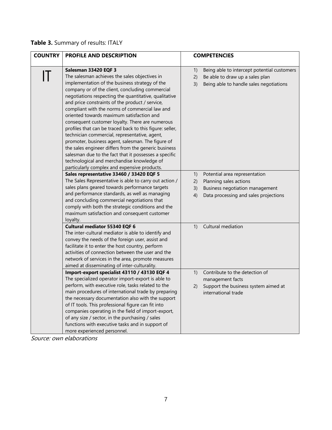## **Table 3.** Summary of results: ITALY

| <b>COUNTRY</b> | <b>PROFILE AND DESCRIPTION</b>                                                                                                                                                                                                                                                                                                                                                                                                                                                                                                                                                                                                                                                                                                                                                                                            |                      | <b>COMPETENCIES</b>                                                                                                                 |
|----------------|---------------------------------------------------------------------------------------------------------------------------------------------------------------------------------------------------------------------------------------------------------------------------------------------------------------------------------------------------------------------------------------------------------------------------------------------------------------------------------------------------------------------------------------------------------------------------------------------------------------------------------------------------------------------------------------------------------------------------------------------------------------------------------------------------------------------------|----------------------|-------------------------------------------------------------------------------------------------------------------------------------|
| П              | Salesman 33420 EQF 3<br>The salesman achieves the sales objectives in<br>implementation of the business strategy of the<br>company or of the client, concluding commercial<br>negotiations respecting the quantitative, qualitative<br>and price constraints of the product / service,<br>compliant with the norms of commercial law and<br>oriented towards maximum satisfaction and<br>consequent customer loyalty. There are numerous<br>profiles that can be traced back to this figure: seller,<br>technician commercial, representative, agent,<br>promoter, business agent, salesman. The figure of<br>the sales engineer differs from the generic business<br>salesman due to the fact that it possesses a specific<br>technological and merchandise knowledge of<br>particularly complex and expensive products. | 1)<br>2)<br>3)       | Being able to intercept potential customers<br>Be able to draw up a sales plan<br>Being able to handle sales negotiations           |
|                | Sales representative 33460 / 33420 EQF 5<br>The Sales Representative is able to carry out action /<br>sales plans geared towards performance targets<br>and performance standards, as well as managing<br>and concluding commercial negotiations that<br>comply with both the strategic conditions and the<br>maximum satisfaction and consequent customer<br>loyalty.                                                                                                                                                                                                                                                                                                                                                                                                                                                    | 1)<br>2)<br>3)<br>4) | Potential area representation<br>Planning sales actions<br>Business negotiation management<br>Data processing and sales projections |
|                | <b>Cultural mediator 55340 EQF 6</b><br>The inter-cultural mediator is able to identify and<br>convey the needs of the foreign user, assist and<br>facilitate it to enter the host country, perform<br>activities of connection between the user and the<br>network of services in the area, promote measures<br>aimed at disseminating of inter-culturality.                                                                                                                                                                                                                                                                                                                                                                                                                                                             | 1)                   | Cultural mediation                                                                                                                  |
|                | Import-export specialist 43110 / 43130 EQF 4<br>The specialized operator import-export is able to<br>perform, with executive role, tasks related to the<br>main procedures of international trade by preparing<br>the necessary documentation also with the support<br>of IT tools. This professional figure can fit into<br>companies operating in the field of import-export,<br>of any size / sector, in the purchasing / sales<br>functions with executive tasks and in support of<br>more experienced personnel.                                                                                                                                                                                                                                                                                                     | 1)<br>2)             | Contribute to the detection of<br>management facts<br>Support the business system aimed at<br>international trade                   |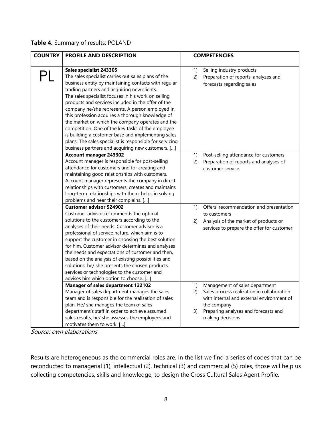#### **Table 4.** Summary of results: POLAND

| <b>COUNTRY</b> | PROFILE AND DESCRIPTION                                                                                                                                                                                                                                                                                                                                                                                                                                                                                                                                                                                                                                                                   |                | <b>COMPETENCIES</b>                                                                                                                                                                                  |
|----------------|-------------------------------------------------------------------------------------------------------------------------------------------------------------------------------------------------------------------------------------------------------------------------------------------------------------------------------------------------------------------------------------------------------------------------------------------------------------------------------------------------------------------------------------------------------------------------------------------------------------------------------------------------------------------------------------------|----------------|------------------------------------------------------------------------------------------------------------------------------------------------------------------------------------------------------|
|                | Sales specialist 243305<br>The sales specialist carries out sales plans of the<br>business entity by maintaining contacts with regular<br>trading partners and acquiring new clients.<br>The sales specialist focuses in his work on selling<br>products and services included in the offer of the<br>company he/she represents. A person employed in<br>this profession acquires a thorough knowledge of<br>the market on which the company operates and the<br>competition. One of the key tasks of the employee<br>is building a customer base and implementing sales<br>plans. The sales specialist is responsible for servicing<br>business partners and acquiring new customers. [] | 1)<br>2)       | Selling industry products<br>Preparation of reports, analyzes and<br>forecasts regarding sales                                                                                                       |
|                | <b>Account manager 243302</b><br>Account manager is responsible for post-selling<br>attendance for customers and for creating and<br>maintaining good relationships with customers.<br>Account manager represents the company in direct<br>relationships with customers, creates and maintains<br>long-term relationships with them, helps in solving<br>problems and hear their complains. []                                                                                                                                                                                                                                                                                            | 1)<br>2)       | Post-selling attendance for customers<br>Preparation of reports and analyses of<br>customer service                                                                                                  |
|                | <b>Customer advisor 524902</b><br>Customer advisor recommends the optimal<br>solutions to the customers according to the<br>analyses of their needs. Customer advisor is a<br>professional of service nature, which aim is to<br>support the customer in choosing the best solution<br>for him. Customer advisor determines and analyses<br>the needs and expectations of customer and then,<br>based on the analysis of existing possibilities and<br>solutions, he/ she presents the chosen products,<br>services or technologies to the customer and<br>advises him which option to choose. []                                                                                         | 1)<br>2)       | Offers' recommendation and presentation<br>to customers<br>Analysis of the market of products or<br>services to prepare the offer for customer                                                       |
|                | <b>Manager of sales department 122102</b><br>Manager of sales department manages the sales<br>team and is responsible for the realisation of sales<br>plan. He/ she manages the team of sales<br>department's staff in order to achieve assumed<br>sales results, he/ she assesses the employees and<br>motivates them to work. []                                                                                                                                                                                                                                                                                                                                                        | 1)<br>2)<br>3) | Management of sales department<br>Sales process realization in collaboration<br>with internal and external environment of<br>the company<br>Preparing analyses and forecasts and<br>making decisions |

Source: own elaborations

Results are heterogeneous as the commercial roles are. In the list we find a series of codes that can be reconducted to managerial (1), intellectual (2), technical (3) and commercial (5) roles, those will help us collecting competencies, skills and knowledge, to design the Cross Cultural Sales Agent Profile.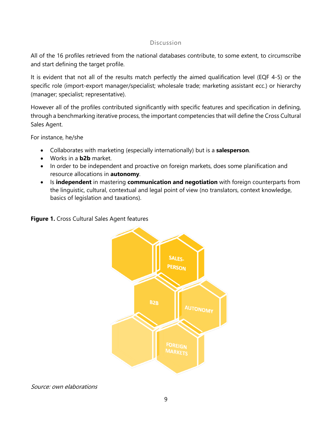#### Discussion

All of the 16 profiles retrieved from the national databases contribute, to some extent, to circumscribe and start defining the target profile.

It is evident that not all of the results match perfectly the aimed qualification level (EQF 4-5) or the specific role (import-export manager/specialist; wholesale trade; marketing assistant ecc.) or hierarchy (manager; specialist; representative).

However all of the profiles contributed significantly with specific features and specification in defining, through a benchmarking iterative process, the important competencies that will define the Cross Cultural Sales Agent.

For instance, he/she

- Collaborates with marketing (especially internationally) but is a **salesperson**.
- Works in a **b2b** market.
- In order to be independent and proactive on foreign markets, does some planification and resource allocations in **autonomy**.
- Is **independent** in mastering **communication and negotiation** with foreign counterparts from the linguistic, cultural, contextual and legal point of view (no translators, context knowledge, basics of legislation and taxations).



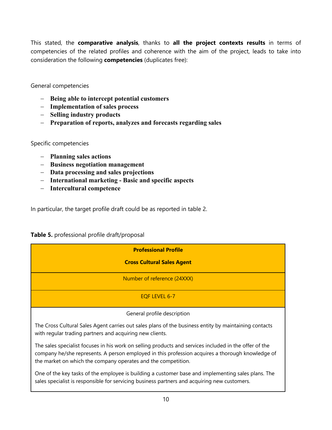This stated, the **comparative analysis**, thanks to **all the project contexts results** in terms of competencies of the related profiles and coherence with the aim of the project, leads to take into consideration the following **competencies** (duplicates free):

General competencies

- **Being able to intercept potential customers**
- **Implementation of sales process**
- **Selling industry products**
- **Preparation of reports, analyzes and forecasts regarding sales**

Specific competencies

- **Planning sales actions**
- **Business negotiation management**
- **Data processing and sales projections**
- **International marketing - Basic and specific aspects**
- **Intercultural competence**

In particular, the target profile draft could be as reported in table 2.

#### **Table 5.** professional profile draft/proposal

| <b>Professional Profile</b>                                                                                                                                                                                                                                                 |
|-----------------------------------------------------------------------------------------------------------------------------------------------------------------------------------------------------------------------------------------------------------------------------|
| <b>Cross Cultural Sales Agent</b>                                                                                                                                                                                                                                           |
| Number of reference (24XXX)                                                                                                                                                                                                                                                 |
| EOF LEVEL 6-7                                                                                                                                                                                                                                                               |
| General profile description                                                                                                                                                                                                                                                 |
| The Cross Cultural Sales Agent carries out sales plans of the business entity by maintaining contacts<br>with regular trading partners and acquiring new clients.                                                                                                           |
| The sales specialist focuses in his work on selling products and services included in the offer of the<br>company he/she represents. A person employed in this profession acquires a thorough knowledge of<br>the market on which the company operates and the competition. |

One of the key tasks of the employee is building a customer base and implementing sales plans. The sales specialist is responsible for servicing business partners and acquiring new customers.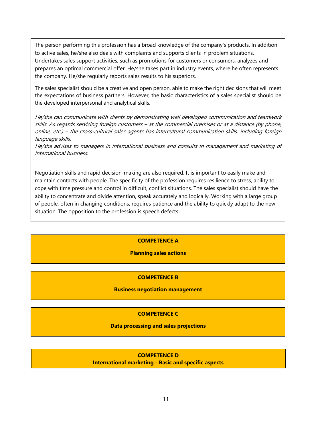The person performing this profession has a broad knowledge of the company's products. In addition to active sales, he/she also deals with complaints and supports clients in problem situations. Undertakes sales support activities, such as promotions for customers or consumers, analyzes and prepares an optimal commercial offer. He/she takes part in industry events, where he often represents the company. He/she regularly reports sales results to his superiors.

The sales specialist should be a creative and open person, able to make the right decisions that will meet the expectations of business partners. However, the basic characteristics of a sales specialist should be the developed interpersonal and analytical skills.

He/she can communicate with clients by demonstrating well developed communication and teamwork skills. As regards servicing foreign customers – at the commercial premises or at a distance (by phone, online, etc.) – the cross-cultural sales agents has intercultural communication skills, including foreign language skills.

He/she advises to managers in international business and consults in management and marketing of international business.

Negotiation skills and rapid decision-making are also required. It is important to easily make and maintain contacts with people. The specificity of the profession requires resilience to stress, ability to cope with time pressure and control in difficult, conflict situations. The sales specialist should have the ability to concentrate and divide attention, speak accurately and logically. Working with a large group of people, often in changing conditions, requires patience and the ability to quickly adapt to the new situation. The opposition to the profession is speech defects.

#### **COMPETENCE A**

#### **Planning sales actions**

#### **COMPETENCE B**

#### **Business negotiation management**

#### **COMPETENCE C**

#### **Data processing and sales projections**

#### **COMPETENCE D**

**International marketing - Basic and specific aspects**